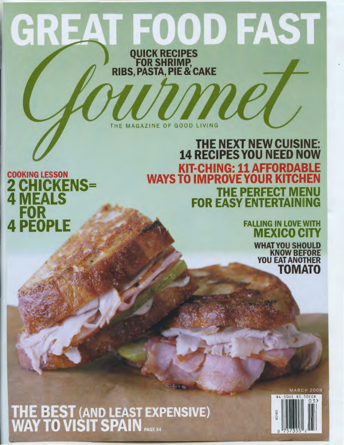## OOD FAST GF Δ QUICK RECIPES FOR SHRIMP. RIBS, PASTA, PIE & CAKE

OF GOOD LIVING

COOKING LESSON CKENS= **4 MEALS** FOR 4PEOPLE

THE NEXT NEW CUISINE: 14 RECIPES YOU NEED NOW KIT-CHING: 11 AFFORDABLE WAYS TO IMPROVE YOUR KITCH THE PERFECT MENU **FOR EASY ENTERTAIN** 

## FALLING IN LOVE WITH MEXICO CITY

WHAT YOU SHOULD KNOW BEFORE YOU EAT ANOTHER TOMATO

**THE BEST (AND LEAST EXPENSIVE)**<br>WAY TO VISIT SPAIN **PAGE 34** 

**MARCH 2009**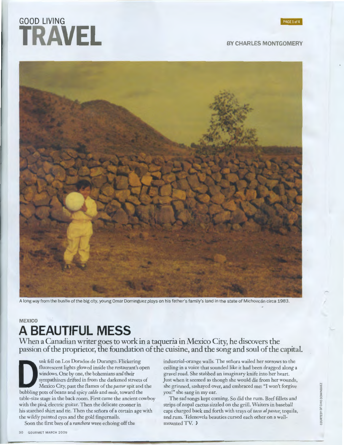# **GOOD LIVING TRAVEL** BY CHARLES MONTGOMERY



A long way from the bustle of the big city, young Omar Dominguez plays on his father's family's land in the state of Michoacan circa 1983.

## **MEXICO A BEAUTIFUL MESS**

When a Canadian writer goes to work in a taqueria in Mexico City, he discovers the passion of the proprietor, the foundation of the cuisine, and the song and soul of the capital.

usk fell on Los Dorados de Durango. Flickering<br>fluorescent lights glowed inside the restaurant's op<br>windows. One by one, the bohemians and their<br>sympathizers drifted in from the darkened streets of<br>Mexico City, past the fl fluorescent lights glowed inside the restaurant's open windows. One by one, the bohemians and their sympathizers drifted in from the darkened streets of Mexico City, past the flames of the *pastor* spit and the table-size stage in the back room. First came the ancient cowboy with the pink electric guitar. Then the delicate crooner in his starched shirt and tie. Then the señora of a certain age with the wildly painted eyes and the gold fingernails.

Soon the first bars of a *nmchern* were echoing off the

industrial-orange walls. The señora wailed her sorrows to the ceiling in a voice that sounded like it bad been dragged along a gravel road. She stabbed an imaginary knife into her heart. Just when it seemed as though she would die from her wounds, she grinned, sashayed over, and embraced me: "I won't forgive you!" she sang in my ear.

The sad songs kept coming. So did the rum. Beef fillets and strips of nopal cactus sizzled on the grill. Waiters in baseball caps charged back and forth with trays of *tacos al pastor*, tequila, and rum. Telenovela beauties cursed each other on a wallmounted TV. >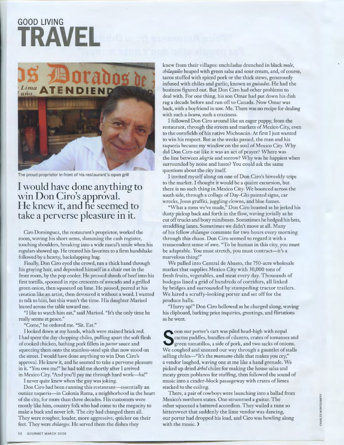# **GOOD LIVING TRAVEL**



The proud proprietor in front of his restaurant's open grill

### **I would have done anything to win Don Ciro's approval. He knew it, and lie seemed to take a perverse pleasure in it.**

Ciro Dominguez, the restaurant's proprietor, worked the room, waving his short arms, slamming the cash register, touching shoulders, breaking into a wide rascal's smile when his regulars showed up. He treated his favorites to a firm handshake followed by a hearty, backslapping hug.

Finally, Don Ciro eyed the crowd, ran a thick hand through his graying hair, and deposited himself in a chair out in the front room, by the pop cooler. He pressed shreds of beef into his first tortilla, spooned in ripe crescents of avocado and a grilled green onion, then squeezed on lime. He paused, peered at his creation like an artist, then devoured it without a word. I wanted to talk to him, but this wasn't the time. His daughter Marisol leaned across the table toward me.

"I like to watch him eat," said Marisol. "It's the only time he really seems at peace."

"Come," he ordered me. "Sit. Eat."

I looked down at my hands, which were stained brick red. I had spent the day chopping chiles, pulling apart the soft flesh of cooked chicken, bathing pork fillets in *pastor* sauce and squeezing them onto the stainless-steel spit that now stood on the street. I would have done anything to win Don Ciro's approval. He knew it, and he seemed to take a perverse pleasure in it. "You owe me!" he had told me shortly after I arrived in Mexico City. "And you'll pay me through hard work-ha!"

I never quite knew when the guy was joking.

Don Ciro had been running this restaurant-essentially an outsize taqueria-in Colonia Roma, a neighborhood in the heart of the city, for more than three decades. His customers were mostly like him, country folk who had come to the megacity to make a buck and never left. The city had changed them all. They were rougher, louder, more aggressive, quicker on their feet. They were *chilangos.* He served them the dishes they

knew from their villages: enchiladas drenched in black *mole, chilaquiles* heaped with green salsa and sour cream, and, of course, tacos stuffed with spiced pork or the thick stews, generously infused with chiles and garlic, known as *guisados.* He had the business figured out. But Don Ciro had other problems to deal with. For one thing, his son Omar had put down his dish rag a decade before and run off to Canada. Now Omar was back, with a boyfriend in tow. Me. There was no recipe for dealing with such a *locum,* such a craziness.

I followed Don Ciro around like an eager puppy, from the restaurant, through the streets and markets of Mexico City, even to the cornfields of his native Michoacán. At first I just wanted to win his respect. But as the weeks passed, the man and his taqueria became my window on the soul of Mexico City. Why did Don Ciro eat like it was an act of prayer? Where was the line between *alegría* and sorrow? Why was he happiest when surrounded by noise and haste? You could ask the same questions about the city itself.

I invited myself along on one of Don Ciro's biweekly trips to the market. I thought it would be a quaint excursion, but there is no such thing in Mexico City. We bounced across the south side, through a collage of Day-Glo painted signs, car wrecks, Jesus graffiti, juggling clowns, and blue fumes.

"What a mess we've made," Don Ciro boasted as he jerked his dusty pickup back and forth in the flow, waving jovially as he cut off trucks and boxy minibuses. Sometimes he hedged his bets, straddling lanes. Sometimes we didn't move at all. Many of his fellow *chilangos* commute for two hours every morning through this chaos. Don Ciro seemed to regard it with a transcendent sense of awe. "To be human in this city, you must be adaptable. You must stretch, you must contract-it's a marvelous thing!"

We pulled into Central de Abasto, the 750-acre wholesale market that supplies Mexico City with 30,000 tons of fresh fruits, vegetables, and meat every day. Thousands of bodegas lined a grid of hundreds of corridors, all linked by bridges and surrounded by stampeding tractor trailers. We hired a scruffy-looking porter and set off for the produce halls.

"Hurry up!" Don Ciro bellowed as he charged along, waving his clipboard, barking price inquiries, greetings, and flirtations as he went.

Soon our porter's cart was piled head-high with nopal<br>cactus paddles, bundles of cilantro, crates of tomatoes<br>green tomatillos, a side of pork, and two sacks of onic<br>We coughed and craeged our way through a gountlet of a cactus paddles, bundles of cilantro, crates of tomatoes and green tomatillos, a side of pork, and two sacks of onions. We coughed and sneezed our way through a gauntlet of stalls selling chiles-"It's the *manzano* chile that makes you cry," a vendor laughed, waving one at me like a hand grenade. We picked up dried *drbol* chiles for making the house salsa and meaty green poblanos for stuffing, then followed the sound of music into a cinder-block passageway with crates of limes stacked to the ceiling.

There, a pair of cowboys were launching into a ballad from Mexico's northern states. One strummed a guitar. The other squeezed a battered accordion. They wailed a tune so bittersweet that suddenly the lime vendor was dancing, our porter had dropped his load, and Ciro was howling along with the music. >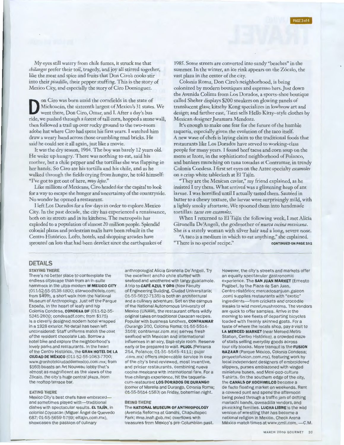My eyes still watery from chile fumes, it struck me that *chilangos* prefer their toil, tragedy, and joy all stirred together, like the meat and spice and fruits that Don Ciro's cooks stir into their *picadillo,* their pepper stuffing. This is the story of Mexico City, and especially the story of Ciro Dominguez.

on Ciro was born amid the cornfields in the state of Michoacán, the sixteenth largest of Mexico's 31 states. We went there, Don Ciro, Omar, and I. After a day's bus ride, we pushed through a forest of tall corn, hopped a stone wall, then followed a trail up over rocky ground to the two-room adobe hut where Ciro had spent his first years. I watched him draw a weary hand across those crumbling mud bricks. He said he could see it all again, just like a movie.

It was the dry season, 1964. The boy was barely 12 years old. He woke up hungry. There was nothing to eat, said his mother, but a chile pepper and the tortillas she was flapping in her hands. So Ciro ate his tortilla and his chile, and as he walked through the fields crying from hunger, he told himself: "I've got to get out of here, *muy lejos."* 

Like millions of Mexicans, Ciro headed for the capital to look for a way to escape the hunger and uncertainty of the countryside. No wonder he opened a restaurant.

I left Los Dorados for a few days in order to explore Mexico City. In the past decade, the city has experienced a renaissance, both on its streets and in its kitchens. The metropolis has exploded to a population of almost 20 million people. Splendid colonial plazas and pedestrian malls have been rebuilt in the Centro Histórico. Lofts, hotels, and shopping arcades have sprouted on lots that had been derelict since the earthquakes of

1985. Some streets are converted into sandy "beaches" in the summer. In the winter, an ice rink appears on the Zócalo, the vast plaza in the center of the city.

Colonia Roma, Don Ciro's neighborhood, is being colonized by modern boutiques and espresso bars. Just down the Avenida Colima from Los Dorados, a sports-shoe boutique called Shelter displays \$200 sneakers on glowing panels of translucent glass; kitschy Kong specializes in lowbrow art and on Ciro was born amid the cornfields in the state of<br>Michoacán, the sixteenth largest of Mexico's 31 states. We<br>went there, Don Ciro, Omar, and I. After a day's bus<br>ride we pushed through a forest of tall corn, bonned a st Mexican designer Jaramara Mendoza.

> It's enough to make one fear for the future of the humble taqueria, especially given the evolution of the taco itself. A new wave of chefs is laying claim to the traditional foods that restaurants like Los Dorados have served to working-class people for many years. I found beef tacos and corn soup on the menu at Izote, in the sophisticated neighborhood of Polanco, and bankers munching on tuna tostadas at Contramar, in trendy Colonia Condesa. I first set eyes on the Aztec specialty *escamoles*  on a crisp white tablecloth at El Tajfn.

> "They are the Mexican caviar," my friend explained, as he insisted I try them. What arrived was a glistening heap of ant larvae. I was horrified until I actually tasted them. Sautéed in butter to a chewy texture, the larvae were surprisingly mild, with a lightly smoky aftertaste. We spooned them into handmade tortillas: *tacos con escamoles.*

> When I returned to El Tajfn the following week, I met Alicia Gironella De'Angeli, the godmother of *nueva cocina mexicana*. She is a stately woman with silver hair and a long, severe nose.

> "A taco is a medium in which to eat anything," she explained. "There is no special recipe." **CONTINUED ON PAGE 102**

#### **DETAILS**

#### **STAYING THERE**

There's no better place to contemplate the endless cityscape than from an in-suite hammock in the ultra-modern **w MEXICO CITY**  (011-52-55-9138-1800; starwoodhotels.com; from \$499), a short walk from the National Museum of Anthropology. Just off the Parque España, in the heart of leafy and hip Colonia Condesa , **CONDESA OF** {011-52-55- 5241-2600; condesadf.com; from \$175) is a cleverly designed modern hotel wrapped in a 1928 exterior. No detail has been left unconsidered: Staff uniforms match the coat of the resident chocolate Lab. Borrow a hotel bike and explore the neighborhood's lovely parks and restaurants. In the heart of the Centro Hist6rico, the **GRAN HOTEL DE LA CIUDAD DE MEXICO** {011-52-55-1083-7700; www.granhotelciudaddemexico.com.mx; from \$160) boasts an Art Nouveau lobby that's almost as magnificent as the views of the Z6calo, the city's huge central plaza, from the rooftop terrace bar.

#### **EATING THERE**

Mexico City's best chefs have embracedand sometimes played with---traditional dishes with spectacular results. **EL TAJiN,** in colonial Coyoacán (Miguel Ángel de Quevedo 687; 01-55-5659-5759; eltajin.com.mx), showcases the passion of culinary

anthropologist Alicia Gironella De'Angeli. Try the excellent ancho chile stuffed with seafood and smothered with tangy guacamole. A trip to **CAFE AZUL Y ORO** {New Faculty of Engineering Building, Ciudad Universitaria; 01-55-5622-7135) is both an architectural and a culinary adventure. Set on the campus of the National Autonomous University of Mexico (UNAM), the restaurant offers wildly original takes on traditional Oaxacan recipes. Popular with business lunchers, **CONTRAMAR**  (Durango 200, Colonia Roma; 01-55-5514- 3169; contramar.com.mx) serves fresh seafood with Mexican and international influences in an airy, Baja-style room. Reserve early or be prepared to wait. **PUJOL** (Petrarca 254, Polanco; 01-55-5545-4111; pujol .com.mx) offers impeccable service in one of the city's best-reviewed, most inventive, and pricier restaurants, combining nueval cocina mexicana with international fare. For a true chilango experience, hit the taqueriacum-restaurant **LOS DORA DOS DE DURANGO**  (corner of Morelia and Durango, Colonia Roma; 01-55-5514-1583) on Friday, bohemian night.

#### **BEING THERE**

The **NATIONAL MUSEUM OF ANTHROPOLOGY**  (Avenida Reforma at Gandhi, Chapultepec Park; mna.inah.gob.mx) overflows with treasures from Mexico's pre-Columbian past. However, the city's streets and markets offer an equally spectacular gastronomic experience. The **SAN JUAN MARKET** {Ernesto Pugibet, by the Plaza de San Juan, Centro Hist6rico; mercadosanjuan.galeon .com) supplies restaurants with "exotic" ingredients-from crickets and crocodile steaks to wild morel, mushrooms. The vendors are quick to offer samples. Arrive in the morning to see fleets of departing bicycles loaded with freshly skinned goats. For a taste of where the locals shop, pay a visit to **LA MERCED MARKET** {near Merced Metro Station, Centro Histórico), a crowded maze of stalls selling everyday goods across four city blocks. More tranquil is the **FUSION BAZAAR** (Parque Mexico, Colonia Condesa; proyectofusion.com.mx), featuring work by local independent designers of embroidered slippers, purses emblazoned with winged miniature buses, and Mexi-pop-culture T-shirts. On the southern edge of the city, the **CANALS OF XOCHIMILCO** become a de facto floating market on weekends. Rent a covered punt and spend the afternoon being poled through a traffic jam of drifting mariachi bands, quesadilla vendors, and picnicking families . **LUCHA LIBRE** is the wild version of wrestling that has become a national religion in Mexico. Check Arena México match times at www.cmll.com. - C.M.